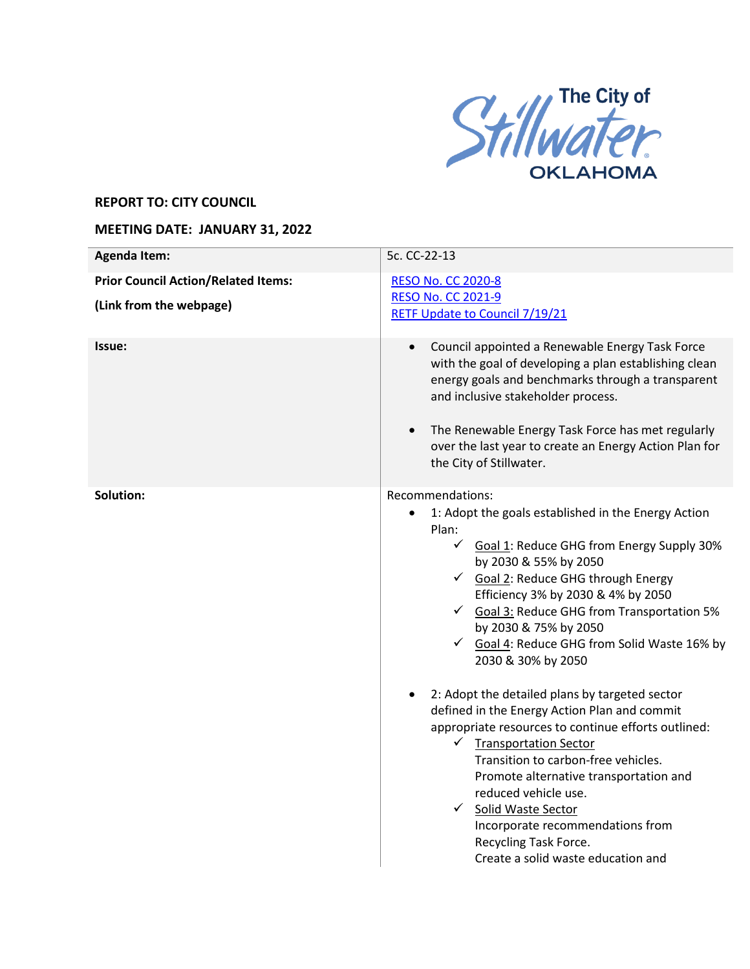

## **REPORT TO: CITY COUNCIL**

## **MEETING DATE: JANUARY 31, 2022**

| <b>Agenda Item:</b>                                                   | 5c. CC-22-13                                                                                                                                                                                                                                                                                                                                                                                                                    |
|-----------------------------------------------------------------------|---------------------------------------------------------------------------------------------------------------------------------------------------------------------------------------------------------------------------------------------------------------------------------------------------------------------------------------------------------------------------------------------------------------------------------|
| <b>Prior Council Action/Related Items:</b><br>(Link from the webpage) | <b>RESO No. CC 2020-8</b><br><b>RESO No. CC 2021-9</b><br><b>RETF Update to Council 7/19/21</b>                                                                                                                                                                                                                                                                                                                                 |
| Issue:                                                                | Council appointed a Renewable Energy Task Force<br>$\bullet$<br>with the goal of developing a plan establishing clean<br>energy goals and benchmarks through a transparent<br>and inclusive stakeholder process.<br>The Renewable Energy Task Force has met regularly<br>$\bullet$<br>over the last year to create an Energy Action Plan for<br>the City of Stillwater.                                                         |
| Solution:                                                             | Recommendations:<br>1: Adopt the goals established in the Energy Action<br>$\bullet$<br>Plan:<br>Goal 1: Reduce GHG from Energy Supply 30%<br>by 2030 & 55% by 2050<br>Goal 2: Reduce GHG through Energy<br>Efficiency 3% by 2030 & 4% by 2050<br>$\checkmark$ Goal 3: Reduce GHG from Transportation 5%<br>by 2030 & 75% by 2050<br>Goal 4: Reduce GHG from Solid Waste 16% by<br>2030 & 30% by 2050                           |
|                                                                       | 2: Adopt the detailed plans by targeted sector<br>defined in the Energy Action Plan and commit<br>appropriate resources to continue efforts outlined:<br>$\checkmark$ Transportation Sector<br>Transition to carbon-free vehicles.<br>Promote alternative transportation and<br>reduced vehicle use.<br>✔ Solid Waste Sector<br>Incorporate recommendations from<br>Recycling Task Force.<br>Create a solid waste education and |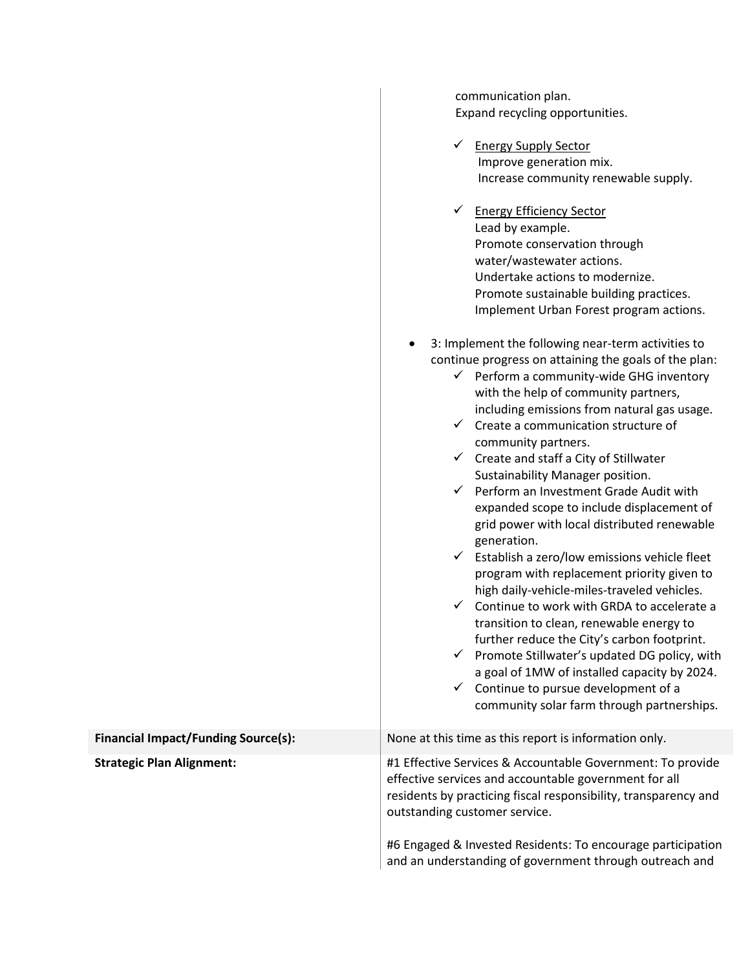|                                            | communication plan.<br>Expand recycling opportunities.<br><b>Energy Supply Sector</b><br>$\checkmark$<br>Improve generation mix.<br>Increase community renewable supply.<br><b>Energy Efficiency Sector</b><br>$\checkmark$<br>Lead by example.<br>Promote conservation through<br>water/wastewater actions.<br>Undertake actions to modernize.<br>Promote sustainable building practices.<br>Implement Urban Forest program actions.<br>3: Implement the following near-term activities to<br>continue progress on attaining the goals of the plan:<br>$\checkmark$ Perform a community-wide GHG inventory<br>with the help of community partners,<br>including emissions from natural gas usage.<br>$\checkmark$ Create a communication structure of<br>community partners.<br>$\checkmark$ Create and staff a City of Stillwater<br>Sustainability Manager position.<br>$\checkmark$ Perform an Investment Grade Audit with<br>expanded scope to include displacement of<br>grid power with local distributed renewable<br>generation.<br>$\checkmark$ Establish a zero/low emissions vehicle fleet<br>program with replacement priority given to |
|--------------------------------------------|------------------------------------------------------------------------------------------------------------------------------------------------------------------------------------------------------------------------------------------------------------------------------------------------------------------------------------------------------------------------------------------------------------------------------------------------------------------------------------------------------------------------------------------------------------------------------------------------------------------------------------------------------------------------------------------------------------------------------------------------------------------------------------------------------------------------------------------------------------------------------------------------------------------------------------------------------------------------------------------------------------------------------------------------------------------------------------------------------------------------------------------------------|
|                                            | high daily-vehicle-miles-traveled vehicles.<br>$\checkmark$ Continue to work with GRDA to accelerate a<br>transition to clean, renewable energy to<br>further reduce the City's carbon footprint.<br>$\checkmark$ Promote Stillwater's updated DG policy, with<br>a goal of 1MW of installed capacity by 2024.<br>$\checkmark$ Continue to pursue development of a<br>community solar farm through partnerships.                                                                                                                                                                                                                                                                                                                                                                                                                                                                                                                                                                                                                                                                                                                                     |
| <b>Financial Impact/Funding Source(s):</b> | None at this time as this report is information only.                                                                                                                                                                                                                                                                                                                                                                                                                                                                                                                                                                                                                                                                                                                                                                                                                                                                                                                                                                                                                                                                                                |
| <b>Strategic Plan Alignment:</b>           | #1 Effective Services & Accountable Government: To provide<br>effective services and accountable government for all<br>residents by practicing fiscal responsibility, transparency and<br>outstanding customer service.                                                                                                                                                                                                                                                                                                                                                                                                                                                                                                                                                                                                                                                                                                                                                                                                                                                                                                                              |
|                                            | #6 Engaged & Invested Residents: To encourage participation<br>and an understanding of government through outreach and                                                                                                                                                                                                                                                                                                                                                                                                                                                                                                                                                                                                                                                                                                                                                                                                                                                                                                                                                                                                                               |